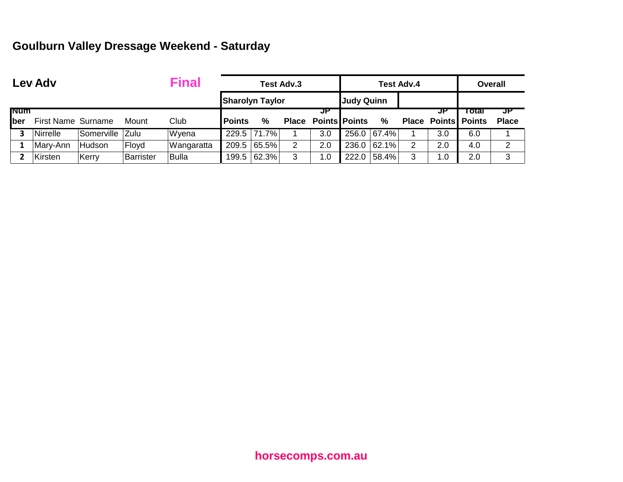## **Goulburn Valley Dressage Weekend - Saturday**

|              | <b>Final</b><br>Lev Adv   |            |                  |            | Test Adv.3    |                        |   |                            |                   |          | <b>Test Adv.4</b> |                            | <b>Overall</b> |              |  |
|--------------|---------------------------|------------|------------------|------------|---------------|------------------------|---|----------------------------|-------------------|----------|-------------------|----------------------------|----------------|--------------|--|
|              |                           |            |                  |            |               | <b>Sharolyn Taylor</b> |   |                            | <b>Judy Quinn</b> |          |                   |                            |                |              |  |
| <b>INUM</b>  |                           |            |                  |            |               |                        |   | JP                         |                   |          |                   |                            | i otal         | JP           |  |
| <b>I</b> ber | <b>First Name Surname</b> |            | Mount            | Club       | <b>Points</b> | %                      |   | <b>Place Points Points</b> |                   | %        |                   | <b>Place Points Points</b> |                | <b>Place</b> |  |
|              | <b>Nirrelle</b>           | Somerville | Zulu             | Wyena      |               | 229.5 71.7%            |   | 3.0                        | 256.0             | $67.4\%$ |                   | 3.0                        | 6.0            |              |  |
|              | Mary-Ann                  | Hudson     | Floyd            | Wangaratta |               | 209.5 65.5%            | 2 | 2.0                        | 236.0             | 62.1%    | 2                 | 2.0                        | 4.0            | 2            |  |
|              | Kirsten                   | Kerry      | <b>Barrister</b> | Bulla      |               | 199.5 62.3%            | 3 | 1.0                        | 222.0             | 58.4%    | 3                 | $\cdot$ 0                  | 2.0            | 3            |  |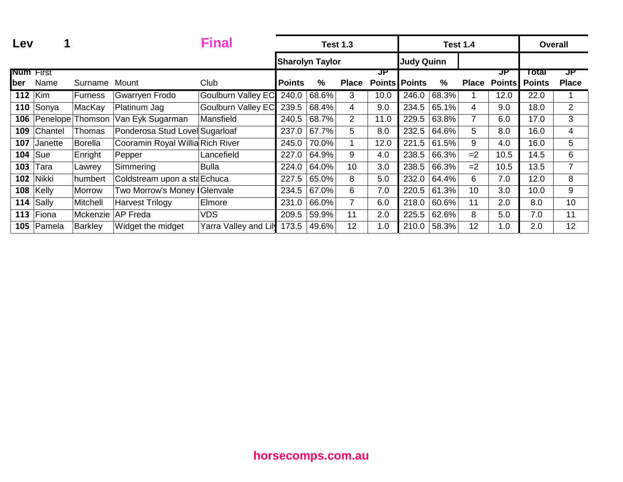| Lev              |             |                |                                  | Final                     |                        |       | <b>Test 1.3</b> |                      |                   | <b>Test 1.4</b> |                | <b>Overall</b> |               |                |
|------------------|-------------|----------------|----------------------------------|---------------------------|------------------------|-------|-----------------|----------------------|-------------------|-----------------|----------------|----------------|---------------|----------------|
|                  |             |                |                                  |                           | <b>Sharolyn Taylor</b> |       |                 |                      | <b>Judy Quinn</b> |                 |                |                |               |                |
| <b>Num</b> First |             |                |                                  |                           |                        |       |                 | JP                   |                   |                 |                | JP             | Total         | ਹਸ             |
| ber              | Name        | Surname        | Mount                            | Club                      | <b>Points</b>          | %     | <b>Place</b>    | <b>Points Points</b> |                   | $\frac{0}{0}$   | <b>Place</b>   | <b>Points</b>  | <b>Points</b> | <b>Place</b>   |
| <b>112 Kim</b>   |             | Furness        | Gwarryen Frodo                   | <b>Goulburn Valley EC</b> | 240.0                  | 68.6% | 3               | 10.0                 | 246.0             | 68.3%           |                | 12.0           | 22.0          |                |
| 110              | Sonya       | MacKay         | Platinum Jag                     | <b>Goulburn Valley EC</b> | 239.5                  | 68.4% | 4               | 9.0                  | 234.5             | 65.1%           | 4              | 9.0            | 18.0          | $\overline{2}$ |
| 106              | Penelope    | Thomson        | Van Eyk Sugarman                 | Mansfield                 | 240.5                  | 68.7% | $\overline{2}$  | 11.0                 | 229.5             | 63.8%           | $\overline{7}$ | 6.0            | 17.0          | 3              |
| 109              | Chantel     | Thomas         | Ponderosa Stud Lovel Sugarloaf   |                           | 237.0                  | 67.7% | 5               | 8.0                  | 232.5             | 64.6%           | 5              | 8.0            | 16.0          | 4              |
| 107              | Janette     | <b>Borella</b> | Cooramin Royal Willia Rich River |                           | 245.0                  | 70.0% |                 | 12.0                 | 221.5             | 61.5%           | 9              | 4.0            | 16.0          | 5              |
| 104              | Sue         | Enright        | Pepper                           | Lancefield                | 227.0                  | 64.9% | 9               | 4.0                  | 238.5             | 66.3%           | $=2$           | 10.5           | 14.5          | 6              |
| 103              | Tara        | Lawrey         | Simmering                        | <b>Bulla</b>              | 224.0                  | 64.0% | 10              | 3.0                  | 238.5             | 66.3%           | $=2$           | 10.5           | 13.5          | $\overline{7}$ |
| 102              | Nikki       | humbert        | Coldstream upon a staEchuca      |                           | 227.5                  | 65.0% | 8               | 5.0                  | 232.0             | 64.4%           | 6              | 7.0            | 12.0          | 8              |
|                  | $108$ Kelly | Morrow         | Two Morrow's Money   Glenvale    |                           | 234.5                  | 67.0% | 6               | 7.0                  | 220.5             | 61.3%           | 10             | 3.0            | 10.0          | 9              |
| 114              | Sally       | Mitchell       | <b>Harvest Trilogy</b>           | Elmore                    | 231.0                  | 66.0% | $\overline{7}$  | 6.0                  | 218.0             | 60.6%           | 11             | 2.0            | 8.0           | 10             |
| 113              | Fiona       | Mckenzie       | <b>AP Freda</b>                  | <b>VDS</b>                | 209.5                  | 59.9% | 11              | 2.0                  | 225.5             | 62.6%           | 8              | 5.0            | 7.0           | 11             |
| 105              | Pamela      | Barkley        | Widget the midget                | Yarra Valley and Lily     | 173.5                  | 49.6% | 12              | 1.0                  | 210.0             | 58.3%           | 12             | 1.0            | 2.0           | 12             |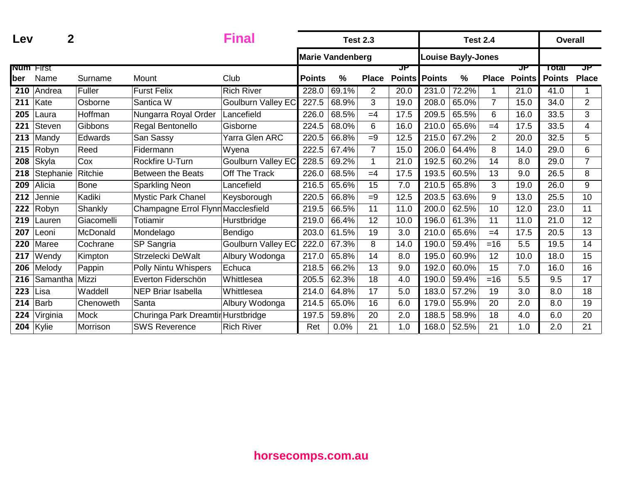| Lev              | $\mathbf 2$   |                | <b>Final</b>                       |                           |               | <b>Test 2.3</b>         |                |                     | <b>Test 2.4</b> |                    |                | <b>Overall</b>      |                        |                    |
|------------------|---------------|----------------|------------------------------------|---------------------------|---------------|-------------------------|----------------|---------------------|-----------------|--------------------|----------------|---------------------|------------------------|--------------------|
|                  |               |                |                                    |                           |               | <b>Marie Vandenberg</b> |                |                     |                 | Louise Bayly-Jones |                |                     |                        |                    |
| <b>Num First</b> | Name          |                | Mount                              | Club                      | <b>Points</b> | $\%$                    | <b>Place</b>   | JP<br><b>Points</b> |                 | $\frac{0}{0}$      |                | JP<br><b>Points</b> | Total<br><b>Points</b> | ਹਾ<br><b>Place</b> |
| ber              |               | Surname        |                                    |                           |               |                         |                |                     | Points          |                    | <b>Place</b>   |                     |                        |                    |
| 210              | Andrea        | Fuller         | <b>Furst Felix</b>                 | <b>Rich River</b>         | 228.0         | 69.1%                   | $\overline{2}$ | 20.0                | 231.0           | 72.2%              | 1              | 21.0                | 41.0                   |                    |
| 211              | Kate          | Osborne        | Santica W                          | <b>Goulburn Valley EC</b> | 227.5         | 68.9%                   | 3              | 19.0                | 208.0           | 65.0%              | $\overline{7}$ | 15.0                | 34.0                   | $\overline{2}$     |
| 205              | Laura         | Hoffman        | Nungarra Royal Order               | Lancefield                | 226.0         | 68.5%                   | $=4$           | 17.5                | 209.5           | 65.5%              | 6              | 16.0                | 33.5                   | 3                  |
| 221              | Steven        | Gibbons        | Regal Bentonello                   | Gisborne                  | 224.5         | 68.0%                   | 6              | 16.0                | 210.0           | 65.6%              | $=4$           | 17.5                | 33.5                   | 4                  |
| 213              | Mandy         | <b>Edwards</b> | San Sassy                          | Yarra Glen ARC            | 220.5         | 66.8%                   | $=9$           | 12.5                | 215.0           | 67.2%              | $\overline{2}$ | 20.0                | 32.5                   | 5                  |
| 215              | Robyn         | Reed           | Fidermann                          | Wyena                     | 222.5         | 67.4%                   | $\overline{7}$ | 15.0                | 206.0           | 64.4%              | 8              | 14.0                | 29.0                   | 6                  |
| 208              | Skyla         | Cox            | Rockfire U-Turn                    | <b>Goulburn Valley EC</b> | 228.5         | 69.2%                   | 1              | 21.0                | 192.5           | 60.2%              | 14             | 8.0                 | 29.0                   | $\overline{7}$     |
| 218              | Stephanie     | Ritchie        | <b>Between the Beats</b>           | Off The Track             | 226.0         | 68.5%                   | $=4$           | 17.5                | 193.5           | 60.5%              | 13             | 9.0                 | 26.5                   | 8                  |
| 209              | Alicia        | <b>Bone</b>    | <b>Sparkling Neon</b>              | Lancefield                | 216.5         | 65.6%                   | 15             | 7.0                 | 210.5           | 65.8%              | 3              | 19.0                | 26.0                   | 9                  |
| 212              | Jennie        | Kadiki         | <b>Mystic Park Chanel</b>          | Keysborough               | 220.5         | 66.8%                   | $=9$           | 12.5                | 203.5           | 63.6%              | 9              | 13.0                | 25.5                   | 10                 |
| 222              | Robyn         | Shankly        | Champagne Errol Flynn Macclesfield |                           | 219.5         | 66.5%                   | 11             | 11.0                | 200.0           | 62.5%              | 10             | 12.0                | 23.0                   | 11                 |
| 219              | Lauren        | Giacomelli     | Totiamir                           | Hurstbridge               | 219.0         | 66.4%                   | 12             | 10.0                | 196.0           | 61.3%              | 11             | 11.0                | 21.0                   | 12                 |
| 207              | Leoni.        | McDonald       | Mondelago                          | Bendigo                   | 203.0         | 61.5%                   | 19             | 3.0                 | 210.0           | 65.6%              | $=4$           | 17.5                | 20.5                   | 13                 |
| 220              | Maree         | Cochrane       | SP Sangria                         | <b>Goulburn Valley EC</b> | 222.0         | 67.3%                   | 8              | 14.0                | 190.0           | 59.4%              | $=16$          | 5.5                 | 19.5                   | 14                 |
| 217              | Wendy         | Kimpton        | Strzelecki DeWalt                  | Albury Wodonga            | 217.0         | 65.8%                   | 14             | 8.0                 | 195.0           | 60.9%              | 12             | 10.0                | 18.0                   | 15                 |
| 206              | Melody        | Pappin         | Polly Nintu Whispers               | Echuca                    | 218.5         | 66.2%                   | 13             | 9.0                 | 192.0           | 60.0%              | 15             | 7.0                 | 16.0                   | 16                 |
| 216              | Samantha      | Mizzi          | Everton Fiderschön                 | Whittlesea                | 205.5         | 62.3%                   | 18             | 4.0                 | 190.0           | 59.4%              | $=16$          | 5.5                 | 9.5                    | 17                 |
| 223              | .isa          | Waddell        | <b>NEP Briar Isabella</b>          | Whittlesea                | 214.0         | 64.8%                   | 17             | 5.0                 | 183.0           | 57.2%              | 19             | 3.0                 | 8.0                    | 18                 |
| 214              | <b>Barb</b>   | Chenoweth      | Santa                              | Albury Wodonga            | 214.5         | 65.0%                   | 16             | 6.0                 | 179.0           | 55.9%              | 20             | 2.0                 | 8.0                    | 19                 |
| 224              | Virginia      | Mock           | Churinga Park Dreamtir Hurstbridge |                           | 197.5         | 59.8%                   | 20             | 2.0                 | 188.5           | 58.9%              | 18             | 4.0                 | 6.0                    | 20                 |
|                  | 204 $ $ Kylie | Morrison       | <b>SWS Reverence</b>               | <b>Rich River</b>         | Ret           | 0.0%                    | 21             | 1.0                 | 168.0           | 52.5%              | 21             | 1.0                 | 2.0                    | 21                 |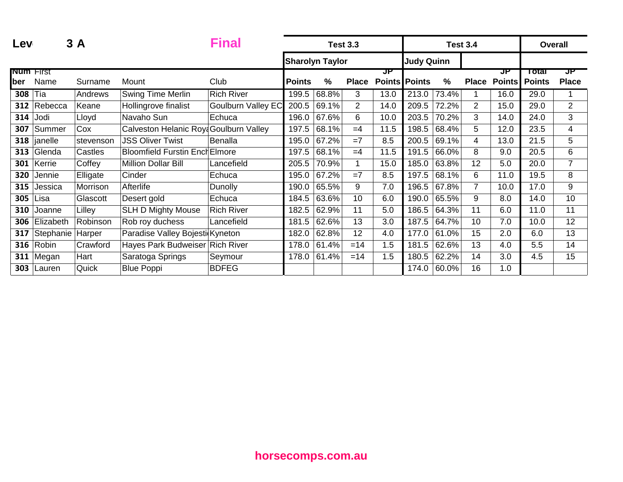| Lev              |           | 3 A       |                                        | Final                     | <b>Test 3.3</b> |                        |                |      |                      |       | <b>Test 3.4</b> |               | Overall       |                |
|------------------|-----------|-----------|----------------------------------------|---------------------------|-----------------|------------------------|----------------|------|----------------------|-------|-----------------|---------------|---------------|----------------|
|                  |           |           |                                        |                           |                 | <b>Sharolyn Taylor</b> |                |      | <b>Judy Quinn</b>    |       |                 |               |               |                |
| <b>Num First</b> |           |           |                                        |                           |                 |                        |                | JP   |                      |       |                 | JP            | Total         | JP             |
| ber              | Name      | Surname   | Mount                                  | Club                      | <b>Points</b>   | $\%$                   | <b>Place</b>   |      | <b>Points Points</b> | %     | <b>Place</b>    | <b>Points</b> | <b>Points</b> | <b>Place</b>   |
| 308              | Tia       | Andrews   | <b>Swing Time Merlin</b>               | <b>Rich River</b>         | 199.5           | 68.8%                  | 3              | 13.0 | 213.0                | 73.4% |                 | 16.0          | 29.0          |                |
| 312              | Rebecca   | Keane     | Hollingrove finalist                   | <b>Goulburn Valley EC</b> | 200.5           | 69.1%                  | $\overline{2}$ | 14.0 | 209.5                | 72.2% | $\overline{2}$  | 15.0          | 29.0          | $\overline{2}$ |
| 314              | Jodi      | Lloyd     | Navaho Sun                             | Echuca                    | 196.0           | 67.6%                  | 6              | 10.0 | 203.5                | 70.2% | 3               | 14.0          | 24.0          | 3              |
| 307              | Summer    | Cox       | Calveston Helanic Roya Goulburn Valley |                           | 197.5           | 68.1%                  | $=4$           | 11.5 | 198.5                | 68.4% | 5               | 12.0          | 23.5          | 4              |
| 318              | janelle   | stevenson | <b>JSS Oliver Twist</b>                | <b>Benalla</b>            | 195.0           | 67.2%                  | $=7$           | 8.5  | 200.5                | 69.1% | 4               | 13.0          | 21.5          | 5              |
| 313              | Glenda    | Castles   | <b>Bloomfield Furstin Ench Elmore</b>  |                           | 197.5           | 68.1%                  | $=4$           | 11.5 | 191.5                | 66.0% | 8               | 9.0           | 20.5          | 6              |
| 301              | Kerrie    | Coffey    | <b>Million Dollar Bill</b>             | Lancefield                | 205.5           | 70.9%                  |                | 15.0 | 185.0                | 63.8% | 12              | 5.0           | 20.0          | $\overline{7}$ |
| 320              | Jennie    | Elligate  | Cinder                                 | Echuca                    | 195.0           | 67.2%                  | $=7$           | 8.5  | 197.5                | 68.1% | 6               | 11.0          | 19.5          | 8              |
| 315              | Jessica   | Morrison  | Afterlife                              | Dunolly                   | 190.0           | 65.5%                  | 9              | 7.0  | 196.5                | 67.8% | $\overline{7}$  | 10.0          | 17.0          | 9              |
| 305              | ∟isa      | Glascott  | Desert gold                            | Echuca                    | 184.5           | 63.6%                  | 10             | 6.0  | 190.0                | 65.5% | 9               | 8.0           | 14.0          | 10             |
| 310              | Joanne    | Lilley    | <b>SLH D Mighty Mouse</b>              | <b>Rich River</b>         | 182.5           | 62.9%                  | 11             | 5.0  | 186.5                | 64.3% | 11              | 6.0           | 11.0          | 11             |
| 306              | Elizabeth | Robinson  | Rob roy duchess                        | Lancefield                | 181.5           | 62.6%                  | 13             | 3.0  | 187.5                | 64.7% | 10              | 7.0           | 10.0          | 12             |
| 317              | Stephanie | Harper    | Paradise Valley Bojesti Kyneton        |                           | 182.0           | 62.8%                  | 12             | 4.0  | 177.0                | 61.0% | 15              | 2.0           | 6.0           | 13             |
| 316              | Robin     | Crawford  | Hayes Park Budweiser Rich River        |                           | 178.0           | 61.4%                  | $=14$          | 1.5  | 181.5                | 62.6% | 13              | 4.0           | 5.5           | 14             |
| 311              | Megan     | Hart      | Saratoga Springs                       | Seymour                   | 178.0           | 61.4%                  | $=14$          | 1.5  | 180.5                | 62.2% | 14              | 3.0           | 4.5           | 15             |
| 303              | Lauren    | Quick     | <b>Blue Poppi</b>                      | <b>BDFEG</b>              |                 |                        |                |      | 174.0                | 60.0% | 16              | 1.0           |               |                |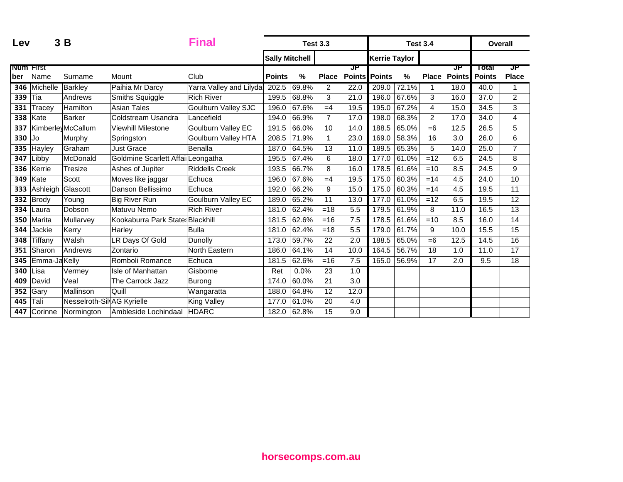| Lev                     |              | 3B                         |                                    | <b>Final</b>            | <b>Test 3.3</b>       |       |                |                     |                      | <b>Test 3.4</b> |                | <b>Overall</b>      |                        |                    |
|-------------------------|--------------|----------------------------|------------------------------------|-------------------------|-----------------------|-------|----------------|---------------------|----------------------|-----------------|----------------|---------------------|------------------------|--------------------|
|                         |              |                            |                                    |                         | <b>Sally Mitchell</b> |       |                |                     | <b>Kerrie Taylor</b> |                 |                |                     |                        |                    |
| <b>Num</b> First<br>ber | Name         | Surname                    | Mount                              | Club                    | <b>Points</b>         | %     | <b>Place</b>   | JP<br><b>Points</b> | <b>Points</b>        | %               | <b>Place</b>   | ਹਾ<br><b>Points</b> | Total<br><b>Points</b> | JP<br><b>Place</b> |
| 346                     | Michelle     | Barkley                    | Paihia Mr Darcy                    | Yarra Valley and Lilyda | 202.5                 | 69.8% | $\overline{2}$ | 22.0                | 209.0                | 72.1%           | 1              | 18.0                | 40.0                   | 1                  |
| 339                     | Tia          | Andrews                    | Smiths Squiggle                    | <b>Rich River</b>       | 199.5                 | 68.8% | 3              | 21.0                | 196.0                | 67.6%           | 3              | 16.0                | 37.0                   | $\overline{2}$     |
| 331                     | Tracey       | Hamilton                   | <b>Asian Tales</b>                 | Goulburn Valley SJC     | 196.0                 | 67.6% | $=4$           | 19.5                | 195.0                | 67.2%           | 4              | 15.0                | 34.5                   | 3                  |
| 338                     | Kate         | <b>Barker</b>              | Coldstream Usandra                 | Lancefield              | 194.0                 | 66.9% | $\overline{7}$ | 17.0                | 198.0                | 68.3%           | $\overline{2}$ | 17.0                | 34.0                   | 4                  |
| 337                     |              | Kimberle McCallum          | <b>Viewhill Milestone</b>          | Goulburn Valley EC      | 191.5                 | 66.0% | 10             | 14.0                | 188.5                | 65.0%           | $=6$           | 12.5                | 26.5                   | 5                  |
| 330                     | Jo           | Murphy                     | Springston                         | Goulburn Valley HTA     | 208.5                 | 71.9% | $\mathbf{1}$   | 23.0                | 169.0                | 58.3%           | 16             | 3.0                 | 26.0                   | 6                  |
| 335                     | Hayley       | Graham                     | Just Grace                         | <b>Benalla</b>          | 187.0                 | 64.5% | 13             | 11.0                | 189.5                | 65.3%           | 5              | 14.0                | 25.0                   | $\overline{7}$     |
| 347                     | Libby        | McDonald                   | Goldmine Scarlett Affail Leongatha |                         | 195.5                 | 67.4% | 6              | 18.0                | 177.0                | 61.0%           | $=12$          | 6.5                 | 24.5                   | 8                  |
| 336                     | Kerrie       | Tresize                    | Ashes of Jupiter                   | <b>Riddells Creek</b>   | 193.5                 | 66.7% | 8              | 16.0                | 178.5                | 61.6%           | $=10$          | 8.5                 | 24.5                   | 9                  |
| 349                     | Kate         | Scott                      | Moves like jaggar                  | Echuca                  | 196.0                 | 67.6% | $=4$           | 19.5                | 175.0                | 60.3%           | $=14$          | 4.5                 | 24.0                   | 10                 |
| 333                     | Ashleigh     | Glascott                   | Danson Bellissimo                  | Echuca                  | 192.0                 | 66.2% | 9              | 15.0                | 175.0                | 60.3%           | $=14$          | 4.5                 | 19.5                   | 11                 |
| 332                     | Brody        | Youna                      | <b>Big River Run</b>               | Goulburn Valley EC      | 189.0                 | 65.2% | 11             | 13.0                | 177.0                | 61.0%           | $=12$          | 6.5                 | 19.5                   | 12                 |
| 334                     | Laura        | Dobson                     | Matuvu Nemo                        | <b>Rich River</b>       | 181.0                 | 62.4% | $=18$          | 5.5                 | 179.5                | 61.9%           | 8              | 11.0                | 16.5                   | 13                 |
| 350                     | Marita       | Mullarvey                  | Kookaburra Park States Blackhill   |                         | 181.5                 | 62.6% | $=16$          | 7.5                 | 178.5                | 61.6%           | $=10$          | 8.5                 | 16.0                   | 14                 |
| 344                     | Jackie       | Kerry                      | Harley                             | <b>Bulla</b>            | 181.0                 | 62.4% | $=18$          | 5.5                 | 179.0                | 61.7%           | 9              | 10.0                | 15.5                   | 15                 |
| 348                     | Tiffany      | Walsh                      | LR Days Of Gold                    | Dunolly                 | 173.0                 | 59.7% | 22             | 2.0                 | 188.5                | 65.0%           | $=6$           | 12.5                | 14.5                   | 16                 |
| 351                     | Sharon       | Andrews                    | Zontario                           | North Eastern           | 186.0                 | 64.1% | 14             | 10.0                | 164.5                | 56.7%           | 18             | 1.0                 | 11.0                   | 17                 |
| 345                     | Emma-JaKelly |                            | Romboli Romance                    | Echuca                  | 181.5                 | 62.6% | $=16$          | 7.5                 | 165.0                | 56.9%           | 17             | 2.0                 | 9.5                    | 18                 |
| 340                     | Lisa         | Vermey                     | Isle of Manhattan                  | Gisborne                | Ret                   | 0.0%  | 23             | 1.0                 |                      |                 |                |                     |                        |                    |
| 409                     | David        | Veal                       | The Carrock Jazz                   | Burong                  | 174.0                 | 60.0% | 21             | $\overline{3.0}$    |                      |                 |                |                     |                        |                    |
| 352                     | Gary         | Mallinson                  | Quill                              | Wangaratta              | 188.0                 | 64.8% | 12             | 12.0                |                      |                 |                |                     |                        |                    |
| 445                     | Tali         | Nesselroth-Sil AG Kyrielle |                                    | <b>King Valley</b>      | 177.0                 | 61.0% | 20             | 4.0                 |                      |                 |                |                     |                        |                    |
| 447                     | Corinne      | Normington                 | Ambleside Lochindaal               | <b>HDARC</b>            | 182.0                 | 62.8% | 15             | 9.0                 |                      |                 |                |                     |                        |                    |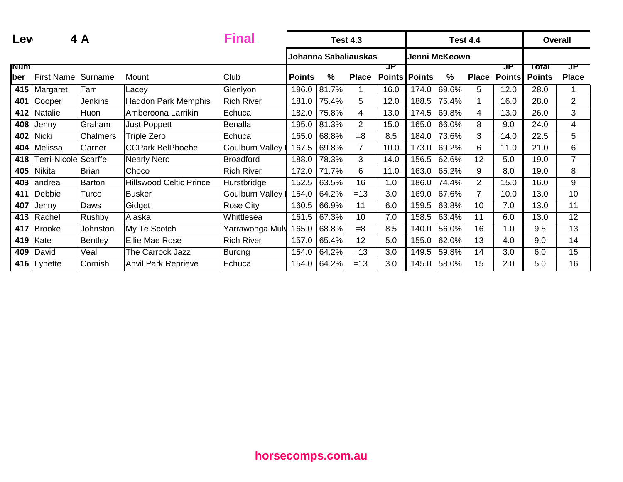| Lev               |                                  | 4 A             |                                | <b>Final</b>           | <b>Test 4.3</b> |                      |                |                            |               |       | <b>Test 4.4</b> |                     | <b>Overall</b>         |                    |
|-------------------|----------------------------------|-----------------|--------------------------------|------------------------|-----------------|----------------------|----------------|----------------------------|---------------|-------|-----------------|---------------------|------------------------|--------------------|
|                   |                                  |                 |                                |                        |                 | Johanna Sabaliauskas |                |                            | Jenni McKeown |       |                 |                     |                        |                    |
| <b>Num</b><br>ber | <b>First Name</b>                | Surname         | Mount                          | Club                   | <b>Points</b>   | %                    | <b>Place</b>   | JP<br><b>Points Points</b> |               | %     | <b>Place</b>    | JP<br><b>Points</b> | Total<br><b>Points</b> | JP<br><b>Place</b> |
| 415               | Margaret                         | Tarr            | Lacey                          | Glenlyon               | 196.0           | 81.7%                |                | 16.0                       | 174.0         | 69.6% | 5               | 12.0                | 28.0                   |                    |
| 401               | Cooper                           | <b>Jenkins</b>  | <b>Haddon Park Memphis</b>     | <b>Rich River</b>      | 181.0           | 75.4%                | 5              | 12.0                       | 188.5         | 75.4% |                 | 16.0                | 28.0                   | $\overline{2}$     |
| 412               | Natalie                          | Huon            | Amberoona Larrikin             | Echuca                 | 182.0           | 75.8%                | 4              | 13.0                       | 174.5         | 69.8% | 4               | 13.0                | 26.0                   | 3                  |
| 408               | Jenny                            | Graham          | Just Poppett                   | <b>Benalla</b>         | 195.0           | 81.3%                | $\overline{2}$ | 15.0                       | 165.0         | 66.0% | 8               | 9.0                 | 24.0                   | $\overline{4}$     |
| 402               | <b>Nicki</b>                     | <b>Chalmers</b> | Triple Zero                    | Echuca                 | 165.0           | 68.8%                | $=8$           | 8.5                        | 184.0         | 73.6% | 3               | 14.0                | 22.5                   | 5                  |
| 404               | Melissa                          | Garner          | <b>CCPark BelPhoebe</b>        | <b>Goulburn Valley</b> | 167.5           | 69.8%                | 7              | 10.0                       | 173.0         | 69.2% | 6               | 11.0                | 21.0                   | 6                  |
| 418               | <sup>-</sup> erri-Nicole Scarffe |                 | <b>Nearly Nero</b>             | <b>Broadford</b>       | 188.0           | 78.3%                | 3              | 14.0                       | 156.5         | 62.6% | 12              | 5.0                 | 19.0                   | 7                  |
| 405               | Nikita                           | <b>Brian</b>    | Choco                          | <b>Rich River</b>      | 172.0           | 71.7%                | 6              | 11.0                       | 163.0         | 65.2% | 9               | 8.0                 | 19.0                   | 8                  |
| 403               | andrea                           | <b>Barton</b>   | <b>Hillswood Celtic Prince</b> | Hurstbridge            | 152.5           | 63.5%                | 16             | 1.0                        | 186.0         | 74.4% | 2               | 15.0                | 16.0                   | 9                  |
| 411               | Debbie                           | Turco           | <b>Busker</b>                  | <b>Goulburn Valley</b> | 154.0           | 64.2%                | $=13$          | 3.0                        | 169.0         | 67.6% | 7               | 10.0                | 13.0                   | 10                 |
| 407               | Jenny                            | Daws            | Gidget                         | <b>Rose City</b>       | 160.5           | 66.9%                | 11             | 6.0                        | 159.5         | 63.8% | 10              | 7.0                 | 13.0                   | 11                 |
| 413               | Rachel                           | Rushby          | Alaska                         | Whittlesea             | 161.5           | 67.3%                | 10             | 7.0                        | 158.5         | 63.4% | 11              | 6.0                 | 13.0                   | 12                 |
| 417               | <b>Brooke</b>                    | Johnston        | My Te Scotch                   | Yarrawonga Muly        | 165.0           | 68.8%                | $=8$           | 8.5                        | 140.0         | 56.0% | 16              | 1.0                 | 9.5                    | 13                 |
| 419               | Kate                             | <b>Bentley</b>  | Ellie Mae Rose                 | <b>Rich River</b>      | 157.0           | 65.4%                | 12             | 5.0                        | 155.0         | 62.0% | 13              | 4.0                 | 9.0                    | 14                 |
| 409               | David                            | Veal            | The Carrock Jazz               | Burong                 | 154.0           | 64.2%                | $=13$          | 3.0                        | 149.5         | 59.8% | 14              | 3.0                 | 6.0                    | 15                 |
| 416               | Lynette                          | Cornish         | <b>Anvil Park Reprieve</b>     | Echuca                 | 154.0           | 64.2%                | $=13$          | 3.0                        | 145.0         | 58.0% | 15              | 2.0                 | 5.0                    | 16                 |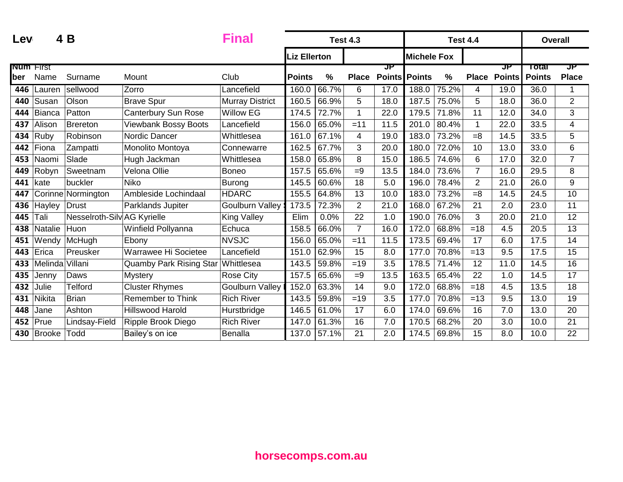| Lev              |                 | 4 B                         |                                | <b>Final</b>           | <b>Test 4.3</b>     |               |                |                      |                    | <b>Test 4.4</b> |                |               | <b>Overall</b> |                          |
|------------------|-----------------|-----------------------------|--------------------------------|------------------------|---------------------|---------------|----------------|----------------------|--------------------|-----------------|----------------|---------------|----------------|--------------------------|
|                  |                 |                             |                                |                        | <b>Liz Ellerton</b> |               |                |                      | <b>Michele Fox</b> |                 |                |               |                |                          |
| <b>Num</b> First |                 |                             |                                |                        |                     |               |                | JP                   |                    |                 |                | ਹਾ            | Total          | JP                       |
| ber              | Name            | Surname                     | Mount                          | Club                   | <b>Points</b>       | $\frac{0}{0}$ | <b>Place</b>   | <b>Points Points</b> |                    | $\%$            | <b>Place</b>   | <b>Points</b> | <b>Points</b>  | <b>Place</b>             |
| 446              | Lauren          | sellwood                    | Zorro                          | Lancefield             | 160.0               | 66.7%         | 6              | 17.0                 | 188.0              | 75.2%           | 4              | 19.0          | 36.0           | 1                        |
| 440              | Susan           | Olson                       | <b>Brave Spur</b>              | <b>Murray District</b> | 160.5               | 66.9%         | 5              | 18.0                 | 187.5              | 75.0%           | 5              | 18.0          | 36.0           | $\overline{2}$           |
| 444              | Bianca          | Patton                      | <b>Canterbury Sun Rose</b>     | <b>Willow EG</b>       | 174.5               | 72.7%         |                | 22.0                 | 179.5              | 71.8%           | 11             | 12.0          | 34.0           | 3                        |
| 437              | Alison          | Brereton                    | <b>Viewbank Bossy Boots</b>    | Lancefield             | 156.0               | 65.0%         | $=11$          | 11.5                 | 201.0              | 80.4%           | $\mathbf{1}$   | 22.0          | 33.5           | $\overline{\mathcal{A}}$ |
| 434              | Ruby            | Robinson                    | Nordic Dancer                  | Whittlesea             | 161.0               | 67.1%         | $\overline{4}$ | 19.0                 | 183.0              | 73.2%           | $=8$           | 14.5          | 33.5           | 5                        |
| 442              | Fiona           | Zampatti                    | Monolito Montoya               | Connewarre             | 162.5               | $67.7\%$      | 3              | 20.0                 | 180.0              | 72.0%           | 10             | 13.0          | 33.0           | 6                        |
| 453              | Naomi           | Slade                       | Hugh Jackman                   | Whittlesea             | 158.0               | 65.8%         | 8              | 15.0                 | 186.5              | 74.6%           | 6              | 17.0          | 32.0           | $\overline{7}$           |
| 449              | Robyn           | Sweetnam                    | Velona Ollie                   | Boneo                  | 157.5               | 65.6%         | $=9$           | 13.5                 | 184.0              | 73.6%           | $\overline{7}$ | 16.0          | 29.5           | 8                        |
| 441              | kate            | buckler                     | Niko                           | Burong                 | 145.5               | 60.6%         | 18             | 5.0                  | 196.0              | 78.4%           | $\overline{2}$ | 21.0          | 26.0           | 9                        |
| 447              |                 | Corinne Normington          | Ambleside Lochindaal           | <b>HDARC</b>           | 155.5               | 64.8%         | 13             | 10.0                 | 183.0              | 73.2%           | $=8$           | 14.5          | 24.5           | 10                       |
| 436              | Hayley          | <b>Drust</b>                | Parklands Jupiter              | <b>Goulburn Valley</b> | 173.5               | 72.3%         | $\overline{2}$ | 21.0                 | 168.0              | 67.2%           | 21             | 2.0           | 23.0           | 11                       |
| 445              | Tali            | Nesselroth-Silv AG Kyrielle |                                | <b>King Valley</b>     | Elim                | 0.0%          | 22             | 1.0                  | 190.0              | 76.0%           | 3              | 20.0          | 21.0           | 12                       |
| 438              | Natalie         | Huon                        | Winfield Pollyanna             | Echuca                 | 158.5               | 66.0%         | $\overline{7}$ | 16.0                 | 172.0              | 68.8%           | $=18$          | 4.5           | 20.5           | $\overline{13}$          |
| 451              | Wendy           | McHugh                      | Ebony                          | <b>NVSJC</b>           | 156.0               | 65.0%         | $=11$          | 11.5                 | 173.5              | 69.4%           | 17             | 6.0           | 17.5           | 14                       |
| 443              | Erica           | Preusker                    | Warrawee Hi Societee           | Lancefield             | 151.0               | 62.9%         | 15             | 8.0                  | 177.0              | 70.8%           | $=13$          | 9.5           | 17.5           | 15                       |
| 433              | Melinda Villani |                             | <b>Quamby Park Rising Star</b> | Whittlesea             | 143.5               | 59.8%         | $=19$          | 3.5                  | 178.5              | 71.4%           | 12             | 11.0          | 14.5           | 16                       |
| 435              | Jenny           | Daws                        | <b>Mystery</b>                 | Rose City              | 157.5               | 65.6%         | $=9$           | 13.5                 | 163.5              | 65.4%           | 22             | 1.0           | 14.5           | 17                       |
| 432              | Julie           | <b>Telford</b>              | <b>Cluster Rhymes</b>          | <b>Goulburn Valley</b> | 152.0               | 63.3%         | 14             | 9.0                  | 172.0              | 68.8%           | $=18$          | 4.5           | 13.5           | 18                       |
| 431              | <b>Nikita</b>   | <b>Brian</b>                | Remember to Think              | <b>Rich River</b>      | 143.5               | 59.8%         | $=19$          | 3.5                  | 177.0              | 70.8%           | $=13$          | 9.5           | 13.0           | 19                       |
| 448              | Jane            | Ashton                      | <b>Hillswood Harold</b>        | Hurstbridge            | 146.5               | 61.0%         | 17             | 6.0                  | 174.0              | 69.6%           | 16             | 7.0           | 13.0           | 20                       |
| 452              | Prue            | Lindsay-Field               | Ripple Brook Diego             | <b>Rich River</b>      | 147.0               | 61.3%         | 16             | 7.0                  | 170.5              | 68.2%           | 20             | 3.0           | 10.0           | $\overline{21}$          |
| 430              | Brooke          | Todd                        | Bailey's on ice                | Benalla                | 137.0               | 57.1%         | 21             | 2.0                  | 174.5              | 69.8%           | 15             | 8.0           | 10.0           | 22                       |